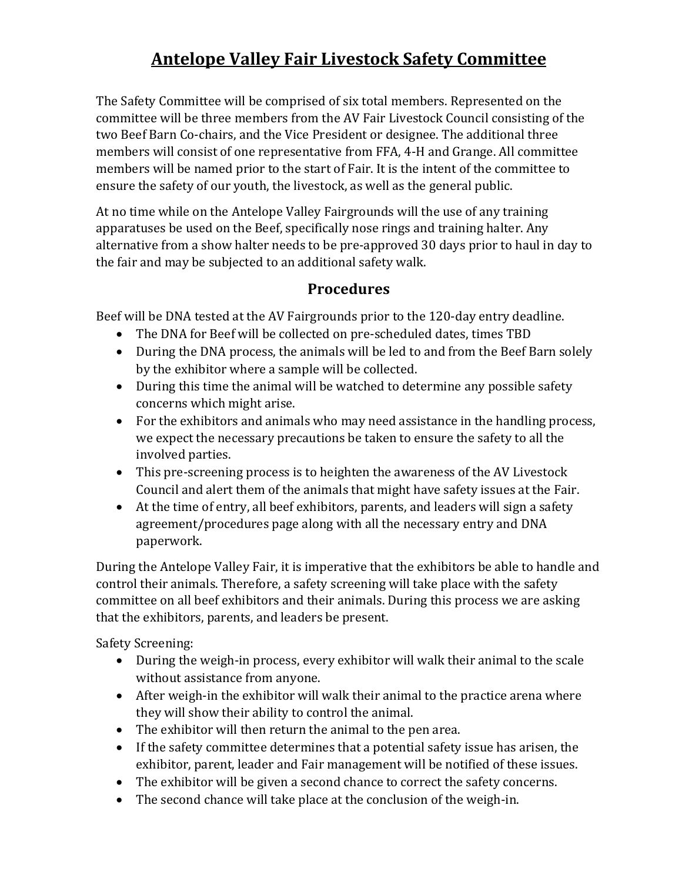## **Antelope Valley Fair Livestock Safety Committee**

The Safety Committee will be comprised of six total members. Represented on the committee will be three members from the AV Fair Livestock Council consisting of the two Beef Barn Co-chairs, and the Vice President or designee. The additional three members will consist of one representative from FFA, 4-H and Grange. All committee members will be named prior to the start of Fair. It is the intent of the committee to ensure the safety of our youth, the livestock, as well as the general public.

At no time while on the Antelope Valley Fairgrounds will the use of any training apparatuses be used on the Beef, specifically nose rings and training halter. Any alternative from a show halter needs to be pre-approved 30 days prior to haul in day to the fair and may be subjected to an additional safety walk.

## **Procedures**

Beef will be DNA tested at the AV Fairgrounds prior to the 120-day entry deadline.

- The DNA for Beef will be collected on pre-scheduled dates, times TBD
- During the DNA process, the animals will be led to and from the Beef Barn solely by the exhibitor where a sample will be collected.
- During this time the animal will be watched to determine any possible safety concerns which might arise.
- For the exhibitors and animals who may need assistance in the handling process, we expect the necessary precautions be taken to ensure the safety to all the involved parties.
- This pre-screening process is to heighten the awareness of the AV Livestock Council and alert them of the animals that might have safety issues at the Fair.
- At the time of entry, all beef exhibitors, parents, and leaders will sign a safety agreement/procedures page along with all the necessary entry and DNA paperwork.

During the Antelope Valley Fair, it is imperative that the exhibitors be able to handle and control their animals. Therefore, a safety screening will take place with the safety committee on all beef exhibitors and their animals. During this process we are asking that the exhibitors, parents, and leaders be present.

Safety Screening:

- During the weigh-in process, every exhibitor will walk their animal to the scale without assistance from anyone.
- After weigh-in the exhibitor will walk their animal to the practice arena where they will show their ability to control the animal.
- The exhibitor will then return the animal to the pen area.
- If the safety committee determines that a potential safety issue has arisen, the exhibitor, parent, leader and Fair management will be notified of these issues.
- The exhibitor will be given a second chance to correct the safety concerns.
- The second chance will take place at the conclusion of the weigh-in.